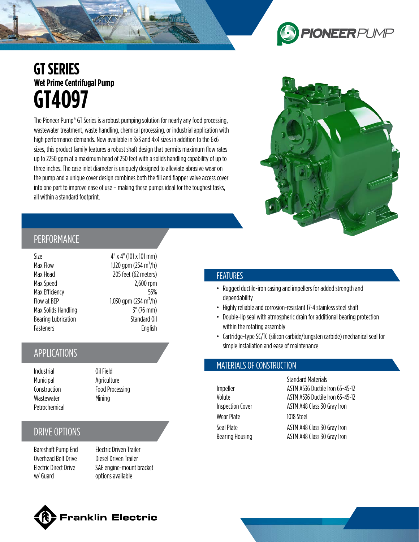# **PIONEER** PUMP

# **GT SERIES Wet Prime Centrifugal Pump GT4O97**

The Pioneer Pump® GT Series is a robust pumping solution for nearly any food processing, wastewater treatment, waste handling, chemical processing, or industrial application with high performance demands. Now available in 3x3 and 4x4 sizes in addition to the 6x6 sizes, this product family features a robust shaft design that permits maximum flow rates up to 2250 gpm at a maximum head of 250 feet with a solids handling capability of up to three inches. The case inlet diameter is uniquely designed to alleviate abrasive wear on the pump and a unique cover design combines both the fill and flapper valve access cover into one part to improve ease of use – making these pumps ideal for the toughest tasks, all within a standard footprint.



#### PERFORMANCE

Size  $4'' \times 4''$  (101 x 101 mm) Max Flow 1,120 gpm  $(254 \text{ m}^3/\text{h})$ Max Head 205 feet (62 meters) Max Speed 2,600 rpm Max Efficiency 55% Flow at BEP  $1,030$  gpm (234 m<sup>3</sup>/h) Max Solids Handling 3" (76 mm) Bearing Lubrication Standard Oil Fasteners English

## APPLICATIONS

Industrial Oil Field Municipal Agriculture Wastewater Mining Petrochemical

Construction **Food Processing** 

## DRIVE OPTIONS

Bareshaft Pump End Electric Driven Trailer Overhead Belt Drive Diesel Driven Trailer Electric Direct Drive w/ Guard

SAE engine-mount bracket options available

#### FEATURES

- Rugged ductile-iron casing and impellers for added strength and dependability
- Highly reliable and corrosion-resistant 17-4 stainless steel shaft
- Double-lip seal with atmospheric drain for additional bearing protection within the rotating assembly
- Cartridge-type SC/TC (silicon carbide/tungsten carbide) mechanical seal for simple installation and ease of maintenance

#### MATERIALS OF CONSTRUCTION

Wear Plate 1018 Steel

Standard Materials Impeller ASTM A536 Ductile Iron 65-45-12 Volute **ASTM A536 Ductile Iron 65-45-12** Inspection Cover ASTM A48 Class 30 Gray Iron Seal Plate ASTM A48 Class 30 Gray Iron Bearing Housing **ASTM A48 Class 30 Gray Iron**